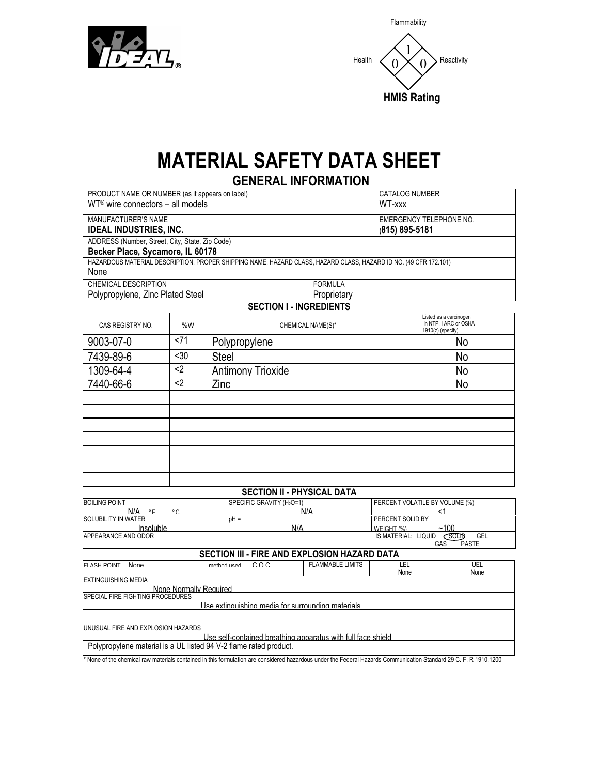

|        | Flammability                          |
|--------|---------------------------------------|
| Health | Reactivity<br>U<br><b>HMIS Rating</b> |

## **MATERIAL SAFETY DATA SHEET**

**GENERAL INFORMATION** PRODUCT NAME OR NUMBER (as it appears on label) WT® wire connectors – all models CATALOG NUMBER WT-xxx MANUFACTURER'S NAME **IDEAL INDUSTRIES, INC.** EMERGENCY TELEPHONE NO. **(815) 895-5181** ADDRESS (Number, Street, City, State, Zip Code) **Becker Place, Sycamore, IL 60178** HAZARDOUS MATERIAL DESCRIPTION, PROPER SHIPPING NAME, HAZARD CLASS, HAZARD CLASS, HAZARD ID NO. (49 CFR 172.101) None CHEMICAL DESCRIPTION Polypropylene, Zinc Plated Steel FORMULA **Proprietary SECTION I - INGREDIENTS** CAS REGISTRY NO.  $\begin{array}{ccc} & 96 \ 0 & 0 & 0 \\ \end{array}$  . CHEMICAL NAME(S)\* Listed as a carcinogen in NTP, I ARC or OSHA 1910(z) (specify) 9003-07-0  $\vert$  <71 Polypropylene No 7439-89-6 | <30 | Steel No 1309-64-4 | <2 | Antimony Trioxide No 7440-66-6 <2 Zinc No **SECTION II - PHYSICAL DATA** BOILING POINT N/A °F °C SOLUBILITY IN WATER SPECIFIC GRAVITY (H<sub>2</sub>O=1) N/A PERCENT VOLATILE BY VOLUME (%)  $<sub>1</sub>$ </sub> <mark>Insoluble</mark><br>APPEARANCE AND ODOR  $pH =$ N/A PERCENT SOLID BY<br>WEIGHT (%) WEIGHT (%) ~100 APPEARANCE AND ODOR IS MATERIAL: LIQUID SOLID GEL

## GAS PASTE **SECTION III - FIRE AND EXPLOSION HAZARD DATA**

| FI ASH POINT                                                      | None | heall hoding | COC. | <b>FLAMMABLE LIMITS</b> | LEL  | UEL  |  |
|-------------------------------------------------------------------|------|--------------|------|-------------------------|------|------|--|
|                                                                   |      |              |      |                         | None | None |  |
| EXTINGUISHING MEDIA                                               |      |              |      |                         |      |      |  |
| None Normally Required                                            |      |              |      |                         |      |      |  |
| SPECIAL FIRE FIGHTING PROCEDURES                                  |      |              |      |                         |      |      |  |
| Use extinguishing media for surrounding materials.                |      |              |      |                         |      |      |  |
|                                                                   |      |              |      |                         |      |      |  |
|                                                                   |      |              |      |                         |      |      |  |
| UNUSUAL FIRE AND EXPLOSION HAZARDS                                |      |              |      |                         |      |      |  |
| Use self-contained breathing apparatus with full face shield      |      |              |      |                         |      |      |  |
| Polypropylene material is a UL listed 94 V-2 flame rated product. |      |              |      |                         |      |      |  |

\* None of the chemical raw materials contained in this formulation are considered hazardous under the Federal Hazards Communication Standard 29 C. F. R 1910.1200